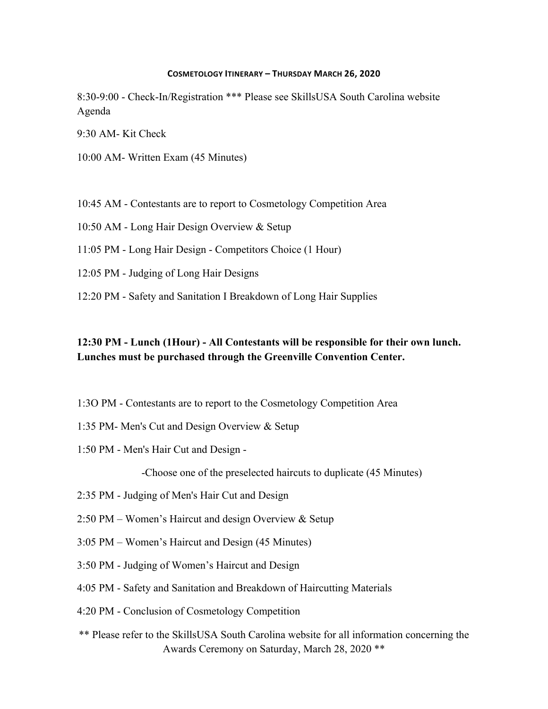#### **COSMETOLOGY ITINERARY – THURSDAY MARCH 26, 2020**

8:30-9:00 - Check-In/Registration \*\*\* Please see SkillsUSA South Carolina website Agenda

9:30 AM- Kit Check

- 10:00 AM- Written Exam (45 Minutes)
- 10:45 AM Contestants are to report to Cosmetology Competition Area
- 10:50 AM Long Hair Design Overview & Setup
- 11:05 PM Long Hair Design Competitors Choice (1 Hour)
- 12:05 PM Judging of Long Hair Designs
- 12:20 PM Safety and Sanitation I Breakdown of Long Hair Supplies

### **12:30 PM - Lunch (1Hour) - All Contestants will be responsible for their own lunch. Lunches must be purchased through the Greenville Convention Center.**

- 1:3O PM Contestants are to report to the Cosmetology Competition Area
- 1:35 PM- Men's Cut and Design Overview & Setup
- 1:50 PM Men's Hair Cut and Design -

-Choose one of the preselected haircuts to duplicate (45 Minutes)

- 2:35 PM Judging of Men's Hair Cut and Design
- 2:50 PM Women's Haircut and design Overview & Setup
- 3:05 PM Women's Haircut and Design (45 Minutes)
- 3:50 PM Judging of Women's Haircut and Design
- 4:05 PM Safety and Sanitation and Breakdown of Haircutting Materials
- 4:20 PM Conclusion of Cosmetology Competition
- \*\* Please refer to the SkillsUSA South Carolina website for all information concerning the Awards Ceremony on Saturday, March 28, 2020 \*\*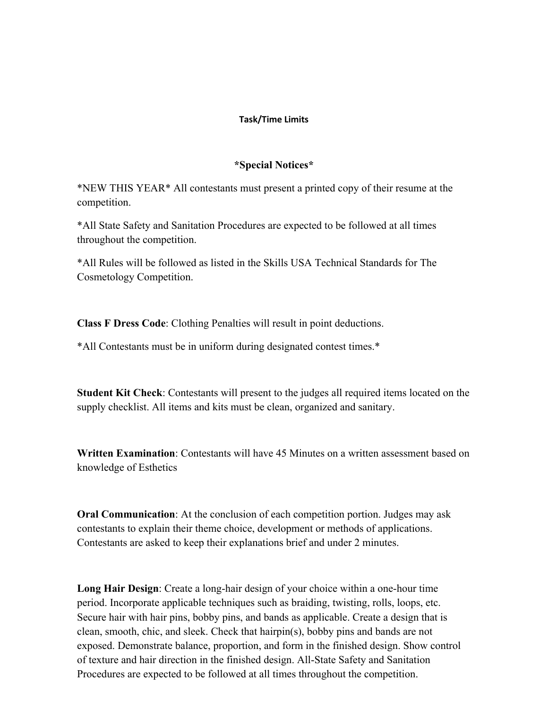### **Task/Time Limits**

#### **\*Special Notices\***

\*NEW THIS YEAR\* All contestants must present a printed copy of their resume at the competition.

\*All State Safety and Sanitation Procedures are expected to be followed at all times throughout the competition.

\*All Rules will be followed as listed in the Skills USA Technical Standards for The Cosmetology Competition.

**Class F Dress Code**: Clothing Penalties will result in point deductions.

\*All Contestants must be in uniform during designated contest times.\*

**Student Kit Check**: Contestants will present to the judges all required items located on the supply checklist. All items and kits must be clean, organized and sanitary.

**Written Examination**: Contestants will have 45 Minutes on a written assessment based on knowledge of Esthetics

**Oral Communication**: At the conclusion of each competition portion. Judges may ask contestants to explain their theme choice, development or methods of applications. Contestants are asked to keep their explanations brief and under 2 minutes.

**Long Hair Design**: Create a long-hair design of your choice within a one-hour time period. Incorporate applicable techniques such as braiding, twisting, rolls, loops, etc. Secure hair with hair pins, bobby pins, and bands as applicable. Create a design that is clean, smooth, chic, and sleek. Check that hairpin(s), bobby pins and bands are not exposed. Demonstrate balance, proportion, and form in the finished design. Show control of texture and hair direction in the finished design. All-State Safety and Sanitation Procedures are expected to be followed at all times throughout the competition.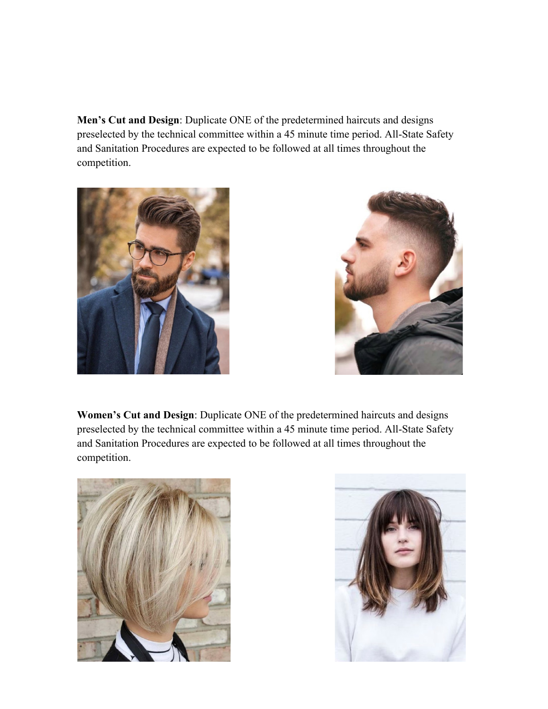**Men's Cut and Design**: Duplicate ONE of the predetermined haircuts and designs preselected by the technical committee within a 45 minute time period. All-State Safety and Sanitation Procedures are expected to be followed at all times throughout the competition.





**Women's Cut and Design**: Duplicate ONE of the predetermined haircuts and designs preselected by the technical committee within a 45 minute time period. All-State Safety and Sanitation Procedures are expected to be followed at all times throughout the competition.



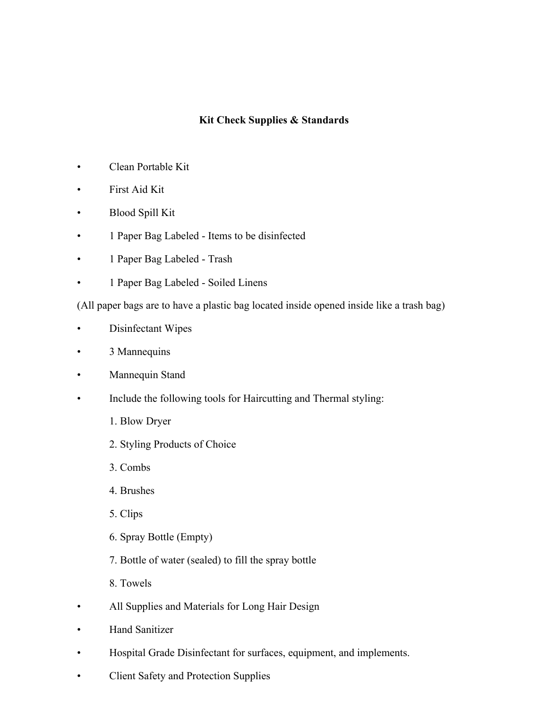### **Kit Check Supplies & Standards**

- Clean Portable Kit
- First Aid Kit
- Blood Spill Kit
- 1 Paper Bag Labeled Items to be disinfected
- 1 Paper Bag Labeled Trash
- 1 Paper Bag Labeled Soiled Linens

(All paper bags are to have a plastic bag located inside opened inside like a trash bag)

- Disinfectant Wipes
- 3 Mannequins
- Mannequin Stand
- Include the following tools for Haircutting and Thermal styling:
	- 1. Blow Dryer
	- 2. Styling Products of Choice
	- 3. Combs
	- 4. Brushes
	- 5. Clips
	- 6. Spray Bottle (Empty)
	- 7. Bottle of water (sealed) to fill the spray bottle
	- 8. Towels
- All Supplies and Materials for Long Hair Design
- Hand Sanitizer
- Hospital Grade Disinfectant for surfaces, equipment, and implements.
- Client Safety and Protection Supplies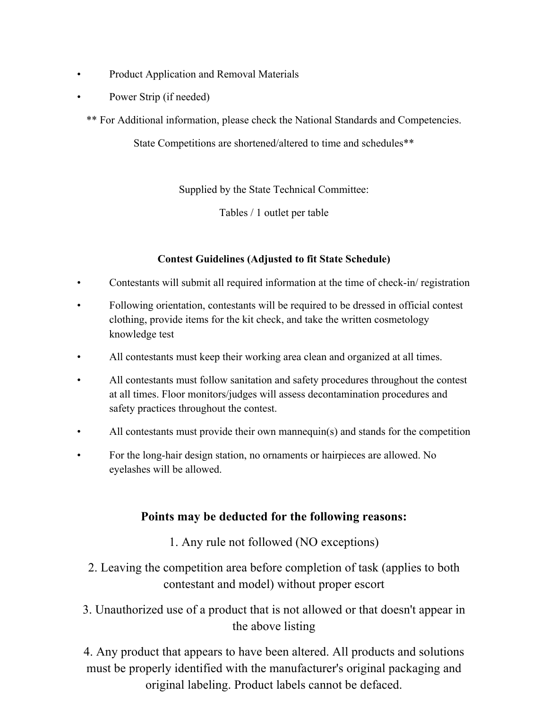- Product Application and Removal Materials
- Power Strip (if needed)
	- \*\* For Additional information, please check the National Standards and Competencies.

State Competitions are shortened/altered to time and schedules\*\*

Supplied by the State Technical Committee:

Tables / 1 outlet per table

## **Contest Guidelines (Adjusted to fit State Schedule)**

- Contestants will submit all required information at the time of check-in/ registration
- Following orientation, contestants will be required to be dressed in official contest clothing, provide items for the kit check, and take the written cosmetology knowledge test
- All contestants must keep their working area clean and organized at all times.
- All contestants must follow sanitation and safety procedures throughout the contest at all times. Floor monitors/judges will assess decontamination procedures and safety practices throughout the contest.
- All contestants must provide their own mannequin(s) and stands for the competition
- For the long-hair design station, no ornaments or hairpieces are allowed. No eyelashes will be allowed.

# **Points may be deducted for the following reasons:**

- 1. Any rule not followed (NO exceptions)
- 2. Leaving the competition area before completion of task (applies to both contestant and model) without proper escort
- 3. Unauthorized use of a product that is not allowed or that doesn't appear in the above listing

4. Any product that appears to have been altered. All products and solutions must be properly identified with the manufacturer's original packaging and original labeling. Product labels cannot be defaced.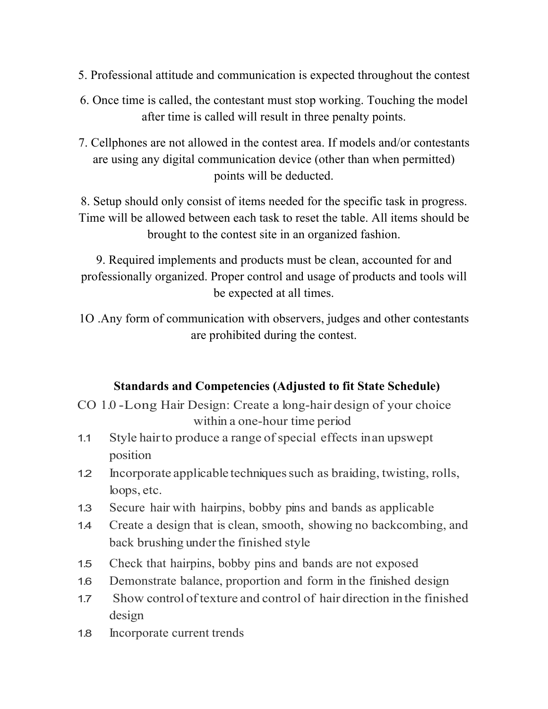- 5. Professional attitude and communication is expected throughout the contest
- 6. Once time is called, the contestant must stop working. Touching the model after time is called will result in three penalty points.
- 7. Cellphones are not allowed in the contest area. If models and/or contestants are using any digital communication device (other than when permitted) points will be deducted.

8. Setup should only consist of items needed for the specific task in progress. Time will be allowed between each task to reset the table. All items should be brought to the contest site in an organized fashion.

9. Required implements and products must be clean, accounted for and professionally organized. Proper control and usage of products and tools will be expected at all times.

1O .Any form of communication with observers, judges and other contestants are prohibited during the contest.

# **Standards and Competencies (Adjusted to fit State Schedule)**

- CO 1.0 -Long Hair Design: Create a long-hair design of your choice within a one-hour time period
- 1.1 Style hair to produce a range of special effects in an upswept position
- 1.2 Incorporate applicable techniquessuch as braiding, twisting, rolls, loops, etc.
- 1.3 Secure hair with hairpins, bobby pins and bands as applicable
- 1.4 Create a design that is clean, smooth, showing no backcombing, and back brushing under the finished style
- 1.5 Check that hairpins, bobby pins and bands are not exposed
- 1.6 Demonstrate balance, proportion and form in the finished design
- 1.7 Show control oftexture and control of hair direction in the finished design
- 1.8 Incorporate current trends